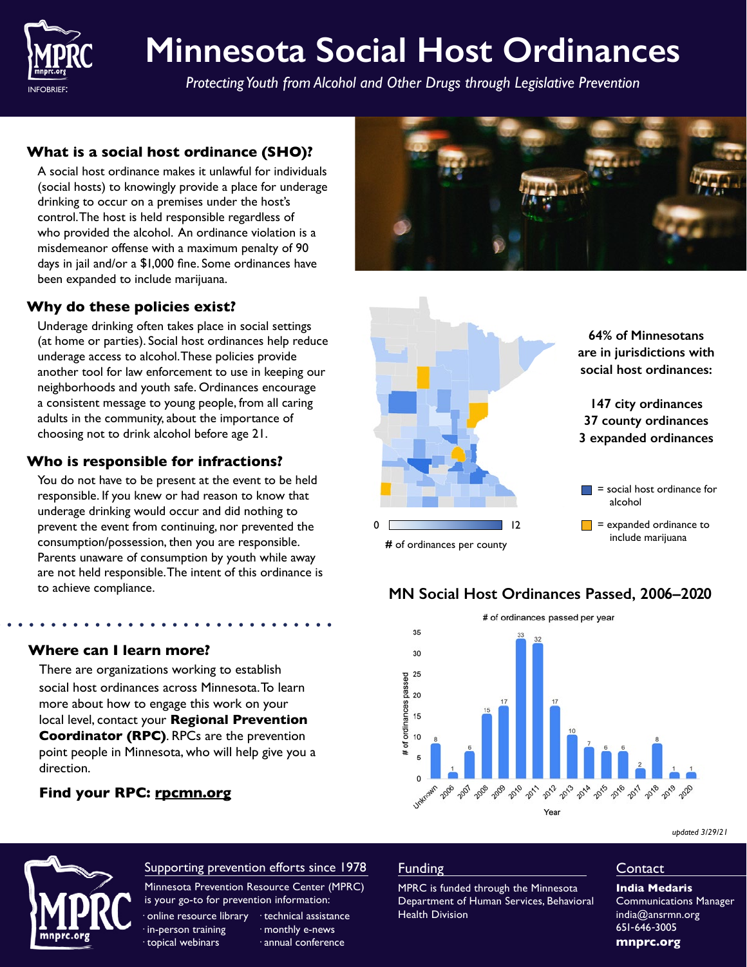

# **Minnesota Social Host Ordinances**

*Protecting Youth from Alcohol and Other Drugs through Legislative Prevention*

# **What is a social host ordinance (SHO)?**

A social host ordinance makes it unlawful for individuals (social hosts) to knowingly provide a place for underage drinking to occur on a premises under the host's control. The host is held responsible regardless of who provided the alcohol. An ordinance violation is a misdemeanor offense with a maximum penalty of 90 days in jail and/or a \$1,000 fine. Some ordinances have been expanded to include marijuana.

## **Why do these policies exist?**

Underage drinking often takes place in social settings (at home or parties). Social host ordinances help reduce underage access to alcohol. These policies provide another tool for law enforcement to use in keeping our neighborhoods and youth safe. Ordinances encourage a consistent message to young people, from all caring adults in the community, about the importance of choosing not to drink alcohol before age 21.

## **Who is responsible for infractions?**

**Where can I learn more?** 

**Find your RPC: [rpcmn.org](https://rpcmn.org/)**

There are organizations working to establish social host ordinances across Minnesota. To learn more about how to engage this work on your local level, contact your **Regional Prevention Coordinator (RPC)**. RPCs are the prevention point people in Minnesota, who will help give you a

You do not have to be present at the event to be held responsible. If you knew or had reason to know that underage drinking would occur and did nothing to prevent the event from continuing, nor prevented the consumption/possession, then you are responsible. Parents unaware of consumption by youth while away are not held responsible. The intent of this ordinance is to achieve compliance.





# **MN Social Host Ordinances Passed, 2006–2020**



*updated 3/29/21*



direction.

# Supporting prevention efforts since 1978

Minnesota Prevention Resource Center (MPRC) is your go-to for prevention information:

· online resource library · technical assistance in-person training topical webinars

· monthly e-news · annual conference

#### Funding

MPRC is funded through the Minnesota Department of Human Services, Behavioral Health Division

#### **Contact**

**India Medaris** Communications Manager indi[a@ansrmn.org](mailto:esha%40ansrmn.org?subject=) 651-646-3005 **[mnprc.org](https://mnprc.org/)**